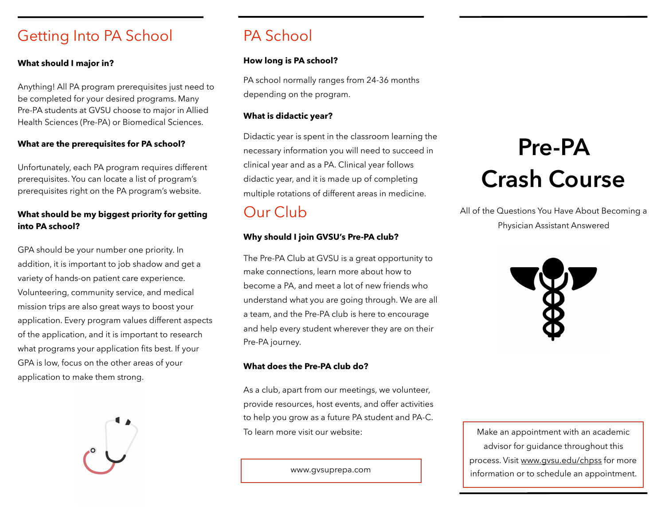# Getting Into PA School

## **What should I major in?**

Anything! All PA program prerequisites just need to be completed for your desired programs. Many Pre-PA students at GVSU choose to major in Allied Health Sciences (Pre-PA) or Biomedical Sciences.

## **What are the prerequisites for PA school?**

Unfortunately, each PA program requires different prerequisites. You can locate a list of program's prerequisites right on the PA program's website.

# **What should be my biggest priority for getting into PA school?**

GPA should be your number one priority. In addition, it is important to job shadow and get a variety of hands-on patient care experience. Volunteering, community service, and medical mission trips are also great ways to boost your application. Every program values different aspects of the application, and it is important to research what programs your application fits best. If your GPA is low, focus on the other areas of your application to make them strong.



# PA School

## **How long is PA school?**

PA school normally ranges from 24-36 months depending on the program.

## **What is didactic year?**

Didactic year is spent in the classroom learning the necessary information you will need to succeed in clinical year and as a PA. Clinical year follows didactic year, and it is made up of completing multiple rotations of different areas in medicine.

# Our Club

# **Why should I join GVSU's Pre-PA club?**

The Pre-PA Club at GVSU is a great opportunity to make connections, learn more about how to become a PA, and meet a lot of new friends who understand what you are going through. We are all a team, and the Pre-PA club is here to encourage and help every student wherever they are on their Pre-PA journey.

## **What does the Pre-PA club do?**

As a club, apart from our meetings, we volunteer, provide resources, host events, and offer activities to help you grow as a future PA student and PA-C. To learn more visit our website:

www.gvsuprepa.com

# **Pre-PA Crash Course**

All of the Questions You Have About Becoming a Physician Assistant Answered



Make an appointment with an academic advisor for guidance throughout this process. Visit [www.gvsu.edu/chpss](http://www.gvsu.edu/chpss) for more information or to schedule an appointment.